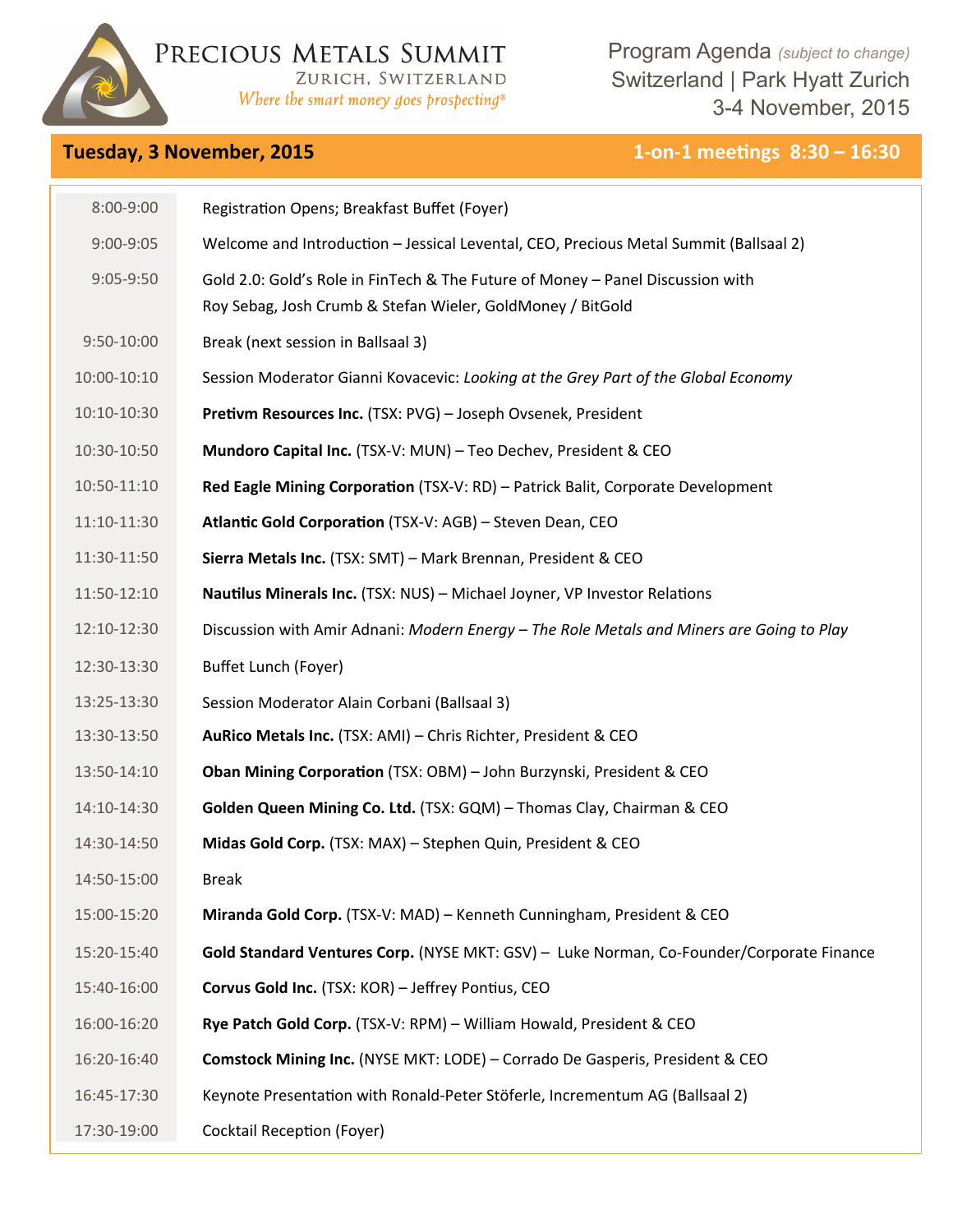

PRECIOUS METALS SUMMIT ZURICH, SWITZERLAND

Where the smart money goes prospecting®

Program Agenda *(subject to change)*  Switzerland | Park Hyatt Zurich 3-4 November, 2015

## **Tuesday, 3 November, 2015 1-on-1 meetings 8:30 - 16:30**

| 8:00-9:00     | Registration Opens; Breakfast Buffet (Foyer)                                                                                                 |
|---------------|----------------------------------------------------------------------------------------------------------------------------------------------|
| $9:00 - 9:05$ | Welcome and Introduction - Jessical Levental, CEO, Precious Metal Summit (Ballsaal 2)                                                        |
| 9:05-9:50     | Gold 2.0: Gold's Role in FinTech & The Future of Money - Panel Discussion with<br>Roy Sebag, Josh Crumb & Stefan Wieler, GoldMoney / BitGold |
| 9:50-10:00    | Break (next session in Ballsaal 3)                                                                                                           |
| 10:00-10:10   | Session Moderator Gianni Kovacevic: Looking at the Grey Part of the Global Economy                                                           |
| 10:10-10:30   | Pretivm Resources Inc. (TSX: PVG) - Joseph Ovsenek, President                                                                                |
| 10:30-10:50   | Mundoro Capital Inc. (TSX-V: MUN) - Teo Dechev, President & CEO                                                                              |
| 10:50-11:10   | Red Eagle Mining Corporation (TSX-V: RD) - Patrick Balit, Corporate Development                                                              |
| 11:10-11:30   | Atlantic Gold Corporation (TSX-V: AGB) - Steven Dean, CEO                                                                                    |
| 11:30-11:50   | Sierra Metals Inc. (TSX: SMT) - Mark Brennan, President & CEO                                                                                |
| 11:50-12:10   | Nautilus Minerals Inc. (TSX: NUS) - Michael Joyner, VP Investor Relations                                                                    |
| 12:10-12:30   | Discussion with Amir Adnani: Modern Energy - The Role Metals and Miners are Going to Play                                                    |
| 12:30-13:30   | Buffet Lunch (Foyer)                                                                                                                         |
| 13:25-13:30   | Session Moderator Alain Corbani (Ballsaal 3)                                                                                                 |
| 13:30-13:50   | AuRico Metals Inc. (TSX: AMI) - Chris Richter, President & CEO                                                                               |
| 13:50-14:10   | Oban Mining Corporation (TSX: OBM) - John Burzynski, President & CEO                                                                         |
| 14:10-14:30   | Golden Queen Mining Co. Ltd. (TSX: GQM) - Thomas Clay, Chairman & CEO                                                                        |
| 14:30-14:50   | Midas Gold Corp. (TSX: MAX) - Stephen Quin, President & CEO                                                                                  |
| 14:50-15:00   | <b>Break</b>                                                                                                                                 |
| 15:00-15:20   | Miranda Gold Corp. (TSX-V: MAD) - Kenneth Cunningham, President & CEO                                                                        |
| 15:20-15:40   | Gold Standard Ventures Corp. (NYSE MKT: GSV) - Luke Norman, Co-Founder/Corporate Finance                                                     |
| 15:40-16:00   | Corvus Gold Inc. (TSX: KOR) - Jeffrey Pontius, CEO                                                                                           |
| 16:00-16:20   | Rye Patch Gold Corp. (TSX-V: RPM) - William Howald, President & CEO                                                                          |
| 16:20-16:40   | Comstock Mining Inc. (NYSE MKT: LODE) - Corrado De Gasperis, President & CEO                                                                 |
| 16:45-17:30   | Keynote Presentation with Ronald-Peter Stöferle, Incrementum AG (Ballsaal 2)                                                                 |
| 17:30-19:00   | <b>Cocktail Reception (Foyer)</b>                                                                                                            |